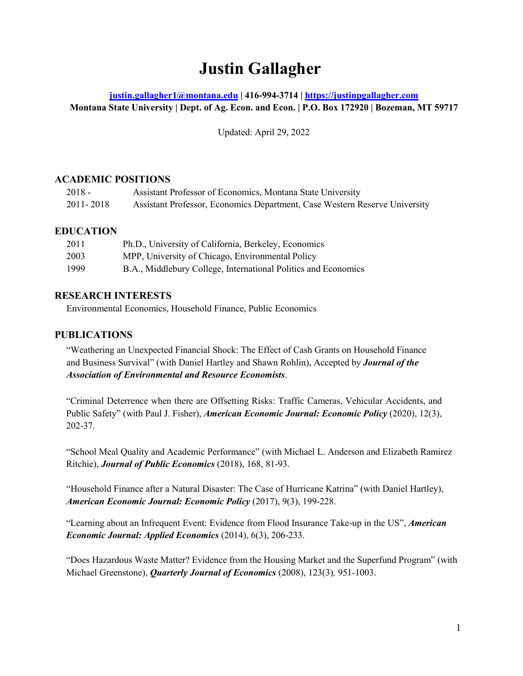# **Justin Gallagher**

# **[justin.gallagher1@montana.edu](mailto:justin.gallagher1@montana.edu) | 416-994-3714 | [https://justinpgallagher.com](https://justinpgallagher.com/) Montana State University | Dept. of Ag. Econ. and Econ. | P.O. Box 172920 | Bozeman, MT 59717**

Updated: April 29, 2022

# **ACADEMIC POSITIONS**

| $2018 -$  | Assistant Professor of Economics, Montana State University                 |
|-----------|----------------------------------------------------------------------------|
| 2011-2018 | Assistant Professor, Economics Department, Case Western Reserve University |

## **EDUCATION**

| 2011 | Ph.D., University of California, Berkeley, Economics           |
|------|----------------------------------------------------------------|
| 2003 | MPP, University of Chicago, Environmental Policy               |
| 1999 | B.A., Middlebury College, International Politics and Economics |

## **RESEARCH INTERESTS**

Environmental Economics, Household Finance, Public Economics

# **PUBLICATIONS**

 "Weathering an Unexpected Financial Shock: The Effect of Cash Grants on Household Finance and Business Survival" (with Daniel Hartley and Shawn Rohlin), Accepted by *Journal of the Association of Environmental and Resource Economists*.

"Criminal Deterrence when there are Offsetting Risks: Traffic Cameras, Vehicular Accidents, and Public Safety" (with Paul J. Fisher), *American Economic Journal: Economic Policy* (2020), 12(3), 202-37.

"School Meal Quality and Academic Performance" (with Michael L. Anderson and Elizabeth Ramirez Ritchie), *Journal of Public Economics* (2018), 168, 81-93.

 "Household Finance after a Natural Disaster: The Case of Hurricane Katrina" (with Daniel Hartley), *American Economic Journal: Economic Policy* (2017), 9(3), 199-228.

"Learning about an Infrequent Event: Evidence from Flood Insurance Take-up in the US", *American Economic Journal: Applied Economics* (2014), 6(3), 206-233.

"Does Hazardous Waste Matter? Evidence from the Housing Market and the Superfund Program" (with Michael Greenstone), *Quarterly Journal of Economics* (2008), 123(3)*,* 951-1003.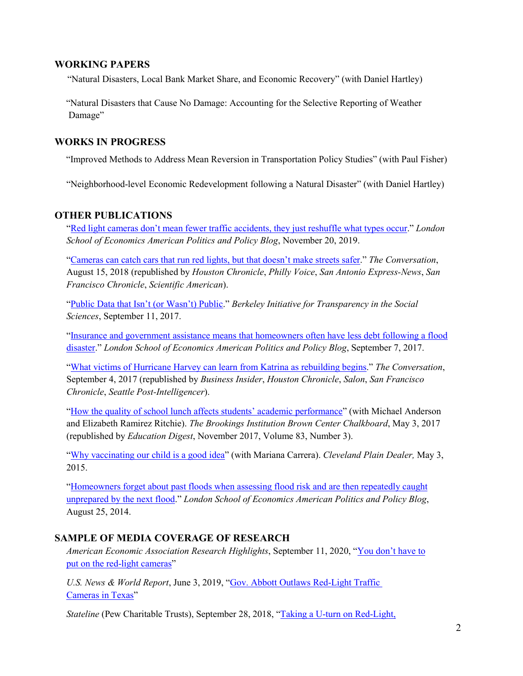## **WORKING PAPERS**

"Natural Disasters, Local Bank Market Share, and Economic Recovery" (with Daniel Hartley)

"Natural Disasters that Cause No Damage: Accounting for the Selective Reporting of Weather Damage"

#### **WORKS IN PROGRESS**

"Improved Methods to Address Mean Reversion in Transportation Policy Studies" (with Paul Fisher)

"Neighborhood-level Economic Redevelopment following a Natural Disaster" (with Daniel Hartley)

## **OTHER PUBLICATIONS**

 ["Red light cameras don't mean fewer traffic accidents, they just reshuffle what types occur.](http://bit.ly/32ZvURK)" *London School of Economics American Politics and Policy Blog*, November 20, 2019.

 ["Cameras can catch cars that run red lights, but that doesn't make streets safer."](https://theconversation.com/cameras-can-catch-cars-that-run-red-lights-but-that-doesnt-make-streets-safer-100217) *The Conversation*, August 15, 2018 (republished by *Houston Chronicle*, *Philly Voice*, *San Antonio Express-News*, *San Francisco Chronicle*, *Scientific American*).

 ["Public Data that Isn't \(or Wasn't\) Public."](http://www.bitss.org/public-data-that-isnt-or-wasnt-public/) *Berkeley Initiative for Transparency in the Social Sciences*, September 11, 2017.

 ["Insurance and government assistance means that homeowners often have less debt following](http://blogs.lse.ac.uk/usappblog/2017/09/07/insurance-and-government-assistance-means-that-homeowners-often-have-less-debt-following-a-flood-disaster/) a flood [disaster.](http://blogs.lse.ac.uk/usappblog/2017/09/07/insurance-and-government-assistance-means-that-homeowners-often-have-less-debt-following-a-flood-disaster/)" *London School of Economics American Politics and Policy Blog*, September 7, 2017.

 ["What victims of Hurricane Harvey can learn from Katrina as rebuilding begins.](https://theconversation.com/what-victims-of-hurricane-harvey-can-learn-from-katrina-as-rebuilding-begins-83184)" *The Conversation*, September 4, 2017 (republished by *Business Insider*, *Houston Chronicle*, *Salon*, *San Francisco Chronicle*, *Seattle Post-Intelligencer*).

 ["How the quality of school lunch affects students' academic performance"](https://www.brookings.edu/blog/brown-center-chalkboard/2017/05/03/how-the-quality-of-school-lunch-affects-students-academic-performance/) (with Michael Anderson and Elizabeth Ramirez Ritchie). *The Brookings Institution Brown Center Chalkboard*, May 3, 2017 (republished by *Education Digest*, November 2017, Volume 83, Number 3).

 ["Why vaccinating our child is a good idea"](http://www.cleveland.com/opinion/index.ssf/2015/05/why_vaccinating_our_child_is_a.html) (with Mariana Carrera). *Cleveland Plain Dealer,* May 3, 2015.

 ["Homeowners forget about past floods when assessing flood risk and are then repeatedly caught](http://blogs.lse.ac.uk/usappblog/2014/08/25/homeowners-forget-about-past-floods-when-assessing-flood-risk-and-are-then-repeatedly-caught-unprepared-by-the-next-flood/)  [unprepared by the next flood."](http://blogs.lse.ac.uk/usappblog/2014/08/25/homeowners-forget-about-past-floods-when-assessing-flood-risk-and-are-then-repeatedly-caught-unprepared-by-the-next-flood/) *London School of Economics American Politics and Policy Blog*, August 25, 2014.

#### **SAMPLE OF MEDIA COVERAGE OF RESEARCH**

 *American Economic Association Research Highlights*, September 11, 2020, ["You don't have to](https://www.aeaweb.org/research/criminal-deterrence-red-light-cameras-houston)   [put on the red-light cameras"](https://www.aeaweb.org/research/criminal-deterrence-red-light-cameras-houston)

 *U.S. News & World Report*, June 3, 2019, ["Gov. Abbott Outlaws Red-Light Traffic](https://www.usnews.com/news/best-states/articles/2019-06-03/gov-abbott-outlaws-red-light-traffic-cameras-in-texas)   [Cameras in Texas"](https://www.usnews.com/news/best-states/articles/2019-06-03/gov-abbott-outlaws-red-light-traffic-cameras-in-texas)

*Stateline* (Pew Charitable Trusts), September 28, 2018, "Taking a U-turn on Red-Light,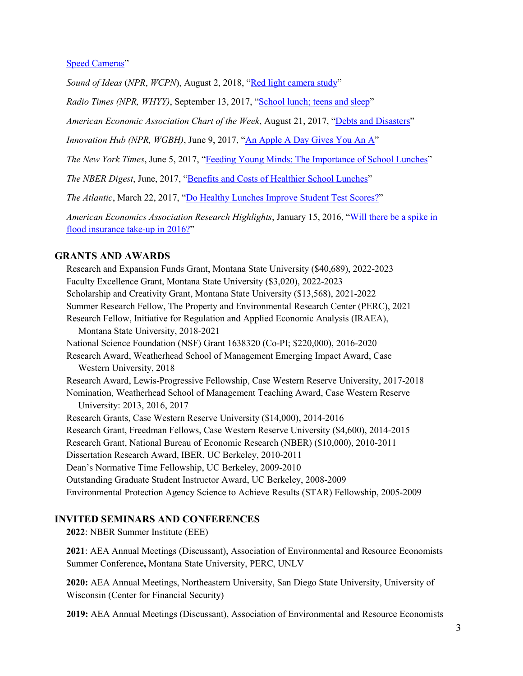[Speed Cameras"](https://www.pewtrusts.org/en/research-and-analysis/blogs/stateline/2018/09/28/taking-a-uturn-on-redlight-speed-cameras)

 *Sound of Ideas* (*NPR*, *WCPN*), August 2, 2018, ["Red light camera study"](http://www.ideastream.org/programs/sound-of-ideas/cleveland-begins-fines-for-violation-of-trash-and-recycling-rules-red-light-camera-study)

*Radio Times (NPR, WHYY)*, September 13, 2017, ["School lunch; teens and sleep"](http://whyy.org/cms/radiotimes/2017/09/13/school-lunch-teens-sleep/)

 *American Economic Association Chart of the Week*, August 21, 2017, ["Debts and Disasters"](https://www.aeaweb.org/research/charts/hurricane-katrina-household-debt-mortgage-disaster)

*Innovation Hub (NPR, WGBH)*, June 9, 2017, ["An Apple A Day Gives You An A"](http://blogs.wgbh.org/innovation-hub/2017/6/9/gallagher-lunches/)

 *The New York Times*, June 5, 2017, ["Feeding Young Minds: The Importance of School Lunches"](https://www.nytimes.com/2017/06/05/well/feeding-young-minds-the-importance-of-school-lunches.html)

 *The NBER Digest*, June, 2017, ["Benefits and Costs of Healthier School Lunches"](http://www.nber.org/digest/jun17/jun17.pdf)

 *The Atlantic*, March 22, 2017, ["Do Healthy Lunches Improve Student Test Scores?"](https://www.theatlantic.com/education/archive/2017/03/do-healthy-lunches-improve-student-test-scores/520272/)

 *American Economics Association Research Highlights*, January 15, 2016, ["Will there be a spike in](https://www.aeaweb.org/research/will-flood-insurance-takeup-spike.php)  [flood insurance take-up in 2016?"](https://www.aeaweb.org/research/will-flood-insurance-takeup-spike.php)

#### **GRANTS AND AWARDS**

 Research and Expansion Funds Grant, Montana State University (\$40,689), 2022-2023 Faculty Excellence Grant, Montana State University (\$3,020), 2022-2023 Scholarship and Creativity Grant, Montana State University (\$13,568), 2021-2022 Summer Research Fellow, The Property and Environmental Research Center (PERC), 2021 Research Fellow, Initiative for Regulation and Applied Economic Analysis (IRAEA), Montana State University, 2018-2021 National Science Foundation (NSF) Grant 1638320 (Co-PI; \$220,000), 2016-2020 Research Award, Weatherhead School of Management Emerging Impact Award, Case Western University, 2018 Research Award, Lewis-Progressive Fellowship, Case Western Reserve University, 2017-2018 Nomination, Weatherhead School of Management Teaching Award, Case Western Reserve University: 2013, 2016, 2017 Research Grants, Case Western Reserve University (\$14,000), 2014-2016 Research Grant, Freedman Fellows, Case Western Reserve University (\$4,600), 2014-2015 Research Grant, National Bureau of Economic Research (NBER) (\$10,000), 2010-2011 Dissertation Research Award, IBER, UC Berkeley, 2010-2011 Dean's Normative Time Fellowship, UC Berkeley, 2009-2010 Outstanding Graduate Student Instructor Award, UC Berkeley, 2008-2009 Environmental Protection Agency Science to Achieve Results (STAR) Fellowship, 2005-2009

#### **INVITED SEMINARS AND CONFERENCES**

**2022**: NBER Summer Institute (EEE)

**2021**: AEA Annual Meetings (Discussant), Association of Environmental and Resource Economists Summer Conference**,** Montana State University, PERC, UNLV

**2020:** AEA Annual Meetings, Northeastern University, San Diego State University, University of Wisconsin (Center for Financial Security)

 **2019:** AEA Annual Meetings (Discussant), Association of Environmental and Resource Economists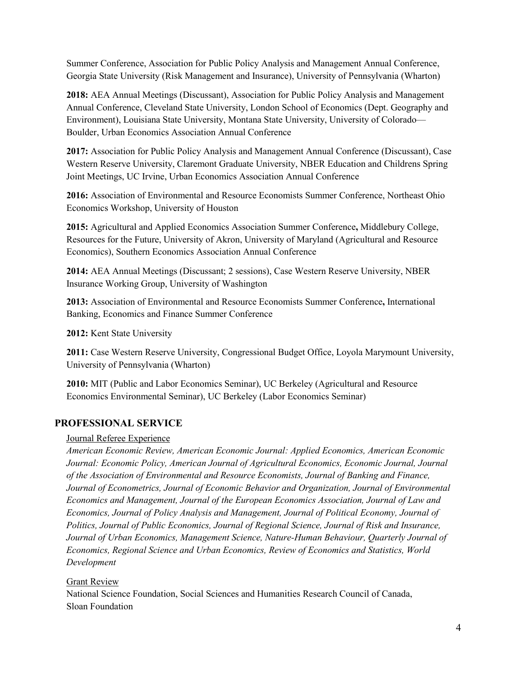Summer Conference, Association for Public Policy Analysis and Management Annual Conference, Georgia State University (Risk Management and Insurance), University of Pennsylvania (Wharton)

 **2018:** AEA Annual Meetings (Discussant), Association for Public Policy Analysis and Management Annual Conference, Cleveland State University, London School of Economics (Dept. Geography and Environment), Louisiana State University, Montana State University, University of Colorado— Boulder, Urban Economics Association Annual Conference

 **2017:** Association for Public Policy Analysis and Management Annual Conference (Discussant), Case Western Reserve University, Claremont Graduate University, NBER Education and Childrens Spring Joint Meetings, UC Irvine, Urban Economics Association Annual Conference

 **2016:** Association of Environmental and Resource Economists Summer Conference, Northeast Ohio Economics Workshop, University of Houston

 **2015:** Agricultural and Applied Economics Association Summer Conference**,** Middlebury College, Resources for the Future, University of Akron, University of Maryland (Agricultural and Resource Economics), Southern Economics Association Annual Conference

 **2014:** AEA Annual Meetings (Discussant; 2 sessions), Case Western Reserve University, NBER Insurance Working Group, University of Washington

 **2013:** Association of Environmental and Resource Economists Summer Conference**,** International Banking, Economics and Finance Summer Conference

 **2012:** Kent State University

 **2011:** Case Western Reserve University, Congressional Budget Office, Loyola Marymount University, University of Pennsylvania (Wharton)

 **2010:** MIT (Public and Labor Economics Seminar), UC Berkeley (Agricultural and Resource Economics Environmental Seminar), UC Berkeley (Labor Economics Seminar)

## **PROFESSIONAL SERVICE**

#### Journal Referee Experience

 *American Economic Review, American Economic Journal: Applied Economics, American Economic Journal: Economic Policy, American Journal of Agricultural Economics, Economic Journal, Journal of the Association of Environmental and Resource Economists, Journal of Banking and Finance, Journal of Econometrics, Journal of Economic Behavior and Organization, Journal of Environmental Economics and Management, Journal of the European Economics Association, Journal of Law and Economics, Journal of Policy Analysis and Management, Journal of Political Economy, Journal of Politics, Journal of Public Economics, Journal of Regional Science, Journal of Risk and Insurance, Journal of Urban Economics, Management Science, Nature-Human Behaviour, Quarterly Journal of Economics, Regional Science and Urban Economics, Review of Economics and Statistics, World Development*

#### **Grant Review**

 National Science Foundation, Social Sciences and Humanities Research Council of Canada, Sloan Foundation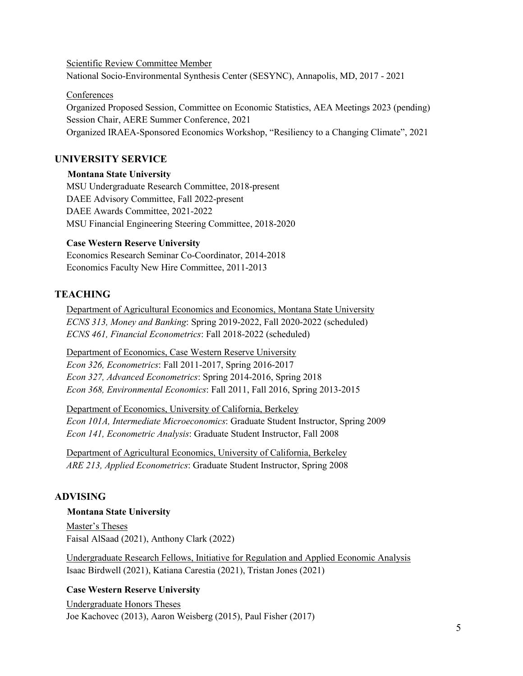Scientific Review Committee Member National Socio-Environmental Synthesis Center (SESYNC), Annapolis, MD, 2017 - 2021

Conferences

 Organized Proposed Session, Committee on Economic Statistics, AEA Meetings 2023 (pending) Session Chair, AERE Summer Conference, 2021 Organized IRAEA-Sponsored Economics Workshop, "Resiliency to a Changing Climate", 2021

# **UNIVERSITY SERVICE**

#### **Montana State University**

 MSU Undergraduate Research Committee, 2018-present DAEE Advisory Committee, Fall 2022-present DAEE Awards Committee, 2021-2022 MSU Financial Engineering Steering Committee, 2018-2020

#### **Case Western Reserve University**

 Economics Research Seminar Co-Coordinator, 2014-2018 Economics Faculty New Hire Committee, 2011-2013

## **TEACHING**

 Department of Agricultural Economics and Economics, Montana State University *ECNS 313, Money and Banking*: Spring 2019-2022, Fall 2020-2022 (scheduled) *ECNS 461, Financial Econometrics*: Fall 2018-2022 (scheduled)

Department of Economics, Case Western Reserve University

*Econ 326, Econometrics*: Fall 2011-2017, Spring 2016-2017

 *Econ 327, Advanced Econometrics*: Spring 2014-2016, Spring 2018 *Econ 368, Environmental Economics*: Fall 2011, Fall 2016, Spring 2013-2015

Department of Economics, University of California, Berkeley

 *Econ 101A, Intermediate Microeconomics*: Graduate Student Instructor, Spring 2009 *Econ 141, Econometric Analysis*: Graduate Student Instructor, Fall 2008

 Department of Agricultural Economics, University of California, Berkeley *ARE 213, Applied Econometrics*: Graduate Student Instructor, Spring 2008

#### **ADVISING**

#### **Montana State University**

 Master's Theses Faisal AlSaad (2021), Anthony Clark (2022)

 Undergraduate Research Fellows, Initiative for Regulation and Applied Economic Analysis Isaac Birdwell (2021), Katiana Carestia (2021), Tristan Jones (2021)

#### **Case Western Reserve University**

 Undergraduate Honors Theses Joe Kachovec (2013), Aaron Weisberg (2015), Paul Fisher (2017)